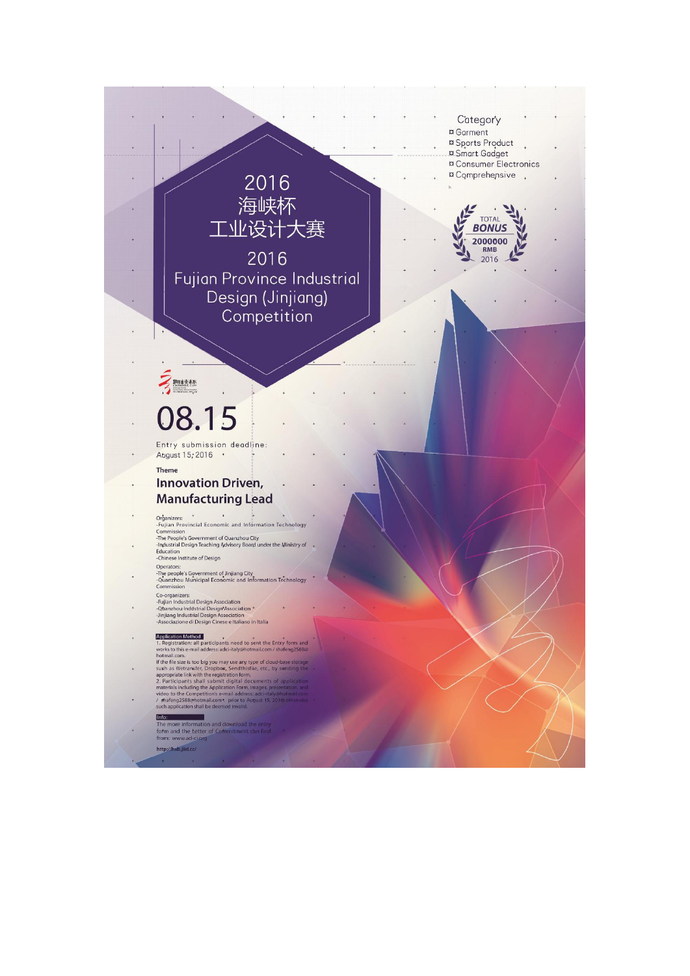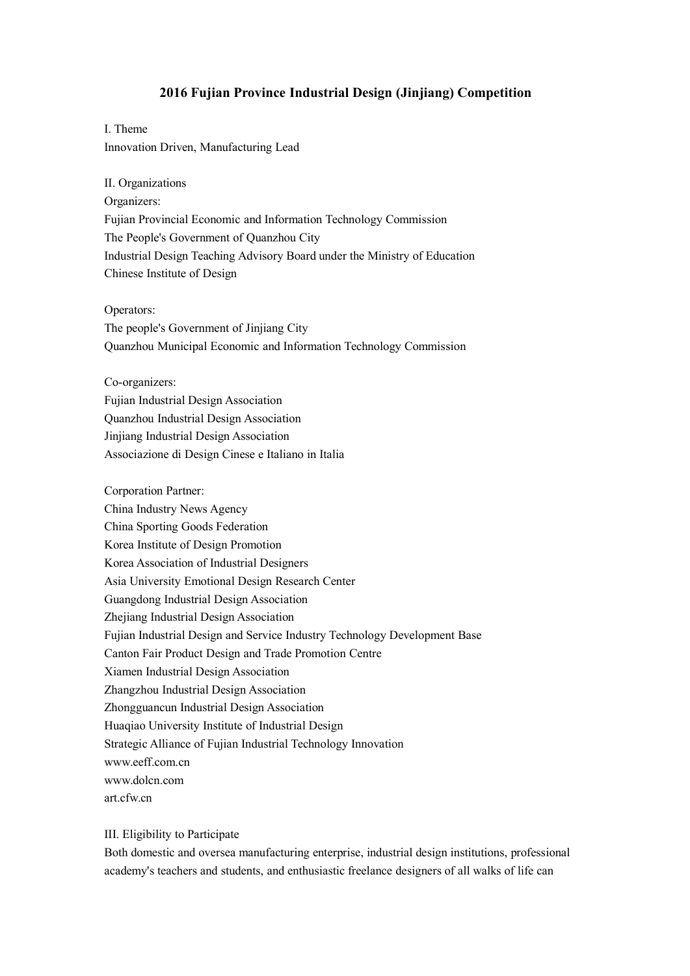# **2016 Fujian Province Industrial Design (Jinjiang) Competition**

I. Theme Innovation Driven, Manufacturing Lead

II. Organizations Organizers: Fujian Provincial Economic and Information Technology Commission The People's Government of Quanzhou City Industrial Design Teaching Advisory Board under the Ministry of Education Chinese Institute of Design

Operators: The people's Government of Jinjiang City Quanzhou Municipal Economic and Information Technology Commission

Co-organizers:

Fujian Industrial Design Association Quanzhou Industrial Design Association Jinjiang Industrial Design Association Associazione di Design Cinese e Italiano in Italia

Corporation Partner: China Industry News Agency China Sporting Goods Federation Korea Institute of Design Promotion Korea Association of Industrial Designers Asia University Emotional Design Research Center Guangdong Industrial Design Association Zhejiang Industrial Design Association Fujian Industrial Design and Service Industry Technology Development Base Canton Fair Product Design and Trade Promotion Centre Xiamen Industrial Design Association Zhangzhou Industrial Design Association Zhongguancun Industrial Design Association Huaqiao University Institute of Industrial Design Strategic Alliance of Fujian Industrial Technology Innovation www.eeff.com.cn www.dolcn.com art.cfw.cn

III. Eligibility to Participate

Both domestic and oversea manufacturing enterprise, industrial design institutions, professional academy's teachers and students, and enthusiastic freelance designers ofall walks of life can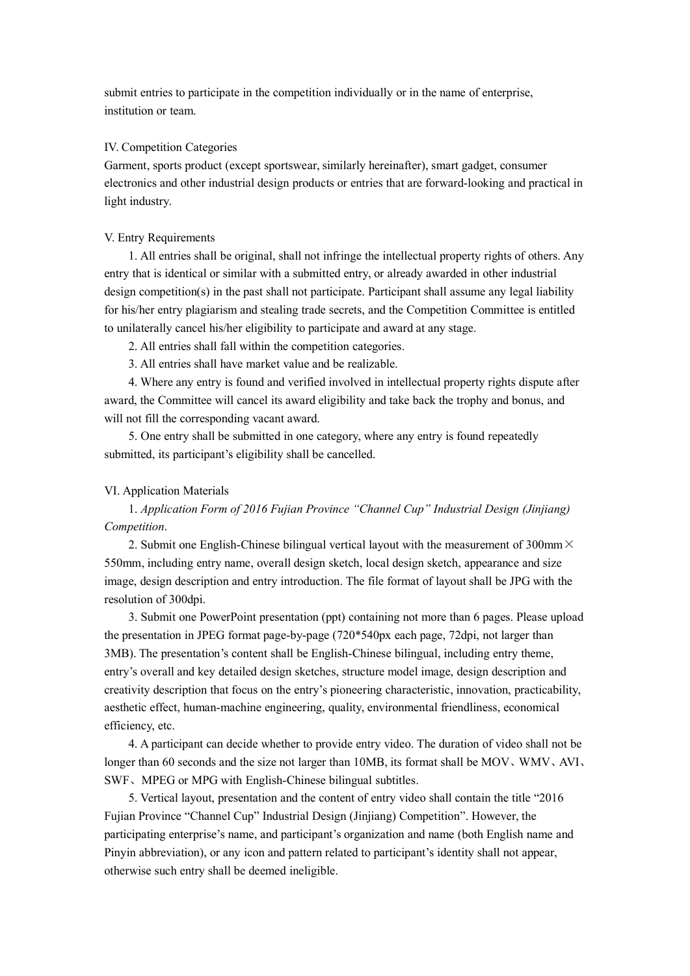submit entries to participate in the competition individually or in the name of enterprise, institution or team.

## IV. Competition Categories

Garment, sports product (except sportswear, similarly hereinafter), smart gadget, consumer electronics and other industrial design products or entries that are forward-looking and practical in light industry.

## V. Entry Requirements

1. All entries shall be original, shall not infringe the intellectual property rights of others. Any entry that is identical or similar with a submitted entry, or already awarded in other industrial design competition(s) in the past shall not participate. Participant shall assume any legal liability for his/her entry plagiarism and stealing trade secrets, and the Competition Committee is entitled to unilaterally cancel his/her eligibility to participate and award at any stage.

2. All entries shall fall within the competition categories.

3. All entries shall have market value and be realizable.

4. Where any entry is found and verified involved in intellectual property rights dispute after award, the Committee will cancel its award eligibility and take back the trophy and bonus, and will not fill the corresponding vacant award.

5. One entry shall be submitted in one category, where any entry is found repeatedly submitted, its participant's eligibility shall be cancelled.

# VI. Application Materials

1. *Application Form of 2016 Fujian Province "Channel Cup" Industrial Design (Jinjiang) Competition*.

2. Submit one English-Chinese bilingual vertical layout with the measurement of 300mm $\times$ 550mm, including entry name, overall design sketch, local design sketch, appearance and size image, design description and entry introduction. The file format of layout shall be JPG with the resolution of 300dpi.

3. Submit one PowerPoint presentation (ppt) containing not more than 6 pages. Please upload the presentation in JPEG format page-by-page (720\*540px each page, 72dpi, not larger than 3MB). The presentation's content shall be English-Chinese bilingual, including entry theme, entry's overall and key detailed design sketches, structure model image, design description and creativity description that focus on the entry's pioneering characteristic, innovation, practicability, aesthetic effect, human-machine engineering, quality, environmental friendliness, economical efficiency, etc.

4. A participant can decide whether to provide entry video. The duration of video shall not be longer than 60 seconds and the size not larger than 10MB, its format shall be MOV、WMV、AVI、 SWF、MPEG or MPG with English-Chinese bilingual subtitles.

5. Vertical layout, presentation and the content of entry video shall contain the title "2016 Fujian Province "Channel Cup" Industrial Design (Jinjiang) Competition". However, the participating enterprise's name, and participant's organization and name (both English name and Pinyin abbreviation), or any icon and pattern related to participant's identity shall not appear, otherwise such entry shall be deemed ineligible.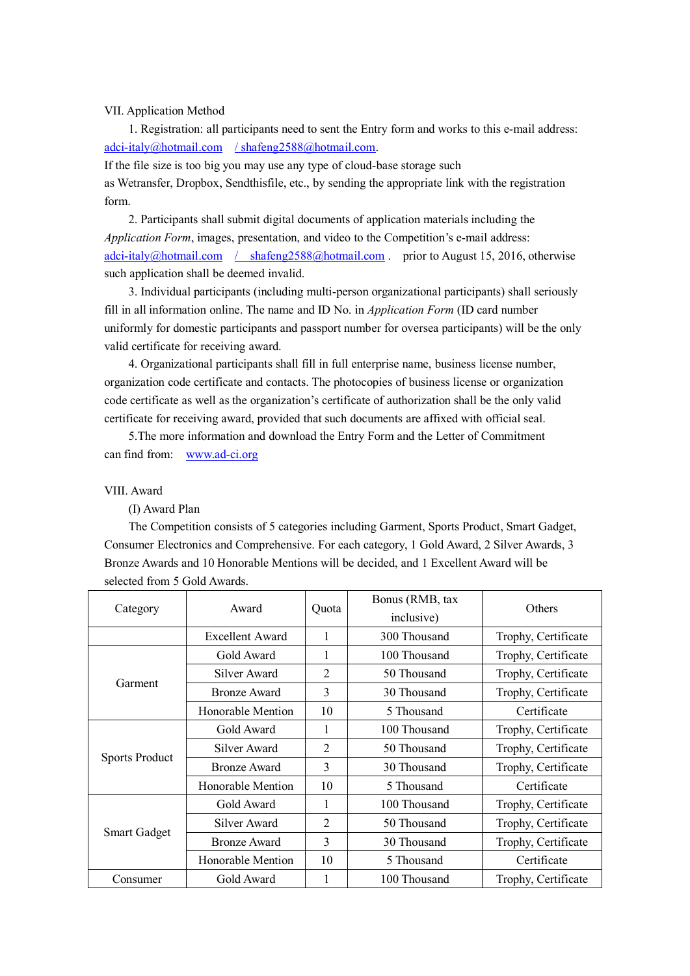## VII. Application Method

1. Registration: all participants need to sent the Entry form and works to this e-mail address: [adci-italy@hotmail.com](mailto:adci-italy@hotmail.com) / [shafeng2588@hotmail.com](mailto:/shafeng2588@hotmail.com).

If the file size is too big you may use any type of cloud-base storage such as [Wetransfer,](https://www.wetransfer.com/) [Dropbox](https://www.dropbox.com/), [Sendthisfile,](https://www.sendthisfile.com/index.jsp) etc., by sending the appropriate link with the registration form.<br>2. Participants shall submit digital documents of application materials including the

*Application Form*, images, presentation, and video to the Competition's e-mail address: [adci-italy@hotmail.com](mailto:adci-italy@hotmail.com) / [shafeng2588@hotmail.com](mailto:/shafeng2588@hotmail.com) . prior to August 15, 2016, otherwise such application shall be deemed invalid.

3. Individual participants (including multi-person organizational participants) shall seriously fill in all information online. The name and ID No. in *Application Form* (ID card number uniformly for domestic participants and passport number for oversea participants) will be the only valid certificate for receiving award.

4. Organizational participants shall fill in full enterprise name, business license number, organization code certificate and contacts. The photocopies of business license or organization code certificate as well as the organization's certificate of authorization shall be the only valid certificate for receiving award, provided that such documents are affixed with official seal.

5.The more information and download the Entry Form and the Letter of Commitment can find from: [www.ad-ci.org](http://www.ad-ci.org)

#### VIII. Award

(I) Award Plan

The Competition consists of 5 categories including Garment, Sports Product, Smart Gadget, Consumer Electronics and Comprehensive. For each category, 1 Gold Award, 2 Silver Awards, 3 Bronze Awards and 10 Honorable Mentions will be decided,and 1 Excellent Award will be selected from 5 Gold Awards.

| Category              | Award                  | Ouota | Bonus (RMB, tax<br>inclusive) | Others              |
|-----------------------|------------------------|-------|-------------------------------|---------------------|
|                       | <b>Excellent Award</b> | 1     | 300 Thousand                  | Trophy, Certificate |
| Garment               | Gold Award             | 1     | 100 Thousand                  | Trophy, Certificate |
|                       | Silver Award           | 2     | 50 Thousand                   | Trophy, Certificate |
|                       | <b>Bronze Award</b>    | 3     | 30 Thousand                   | Trophy, Certificate |
|                       | Honorable Mention      | 10    | 5 Thousand                    | Certificate         |
| <b>Sports Product</b> | Gold Award             |       | 100 Thousand                  | Trophy, Certificate |
|                       | Silver Award           | 2     | 50 Thousand                   | Trophy, Certificate |
|                       | <b>Bronze Award</b>    | 3     | 30 Thousand                   | Trophy, Certificate |
|                       | Honorable Mention      | 10    | 5 Thousand                    | Certificate         |
| <b>Smart Gadget</b>   | Gold Award             | 1     | 100 Thousand                  | Trophy, Certificate |
|                       | Silver Award           | 2     | 50 Thousand                   | Trophy, Certificate |
|                       | <b>Bronze Award</b>    | 3     | 30 Thousand                   | Trophy, Certificate |
|                       | Honorable Mention      | 10    | 5 Thousand                    | Certificate         |
| Consumer              | Gold Award             |       | 100 Thousand                  | Trophy, Certificate |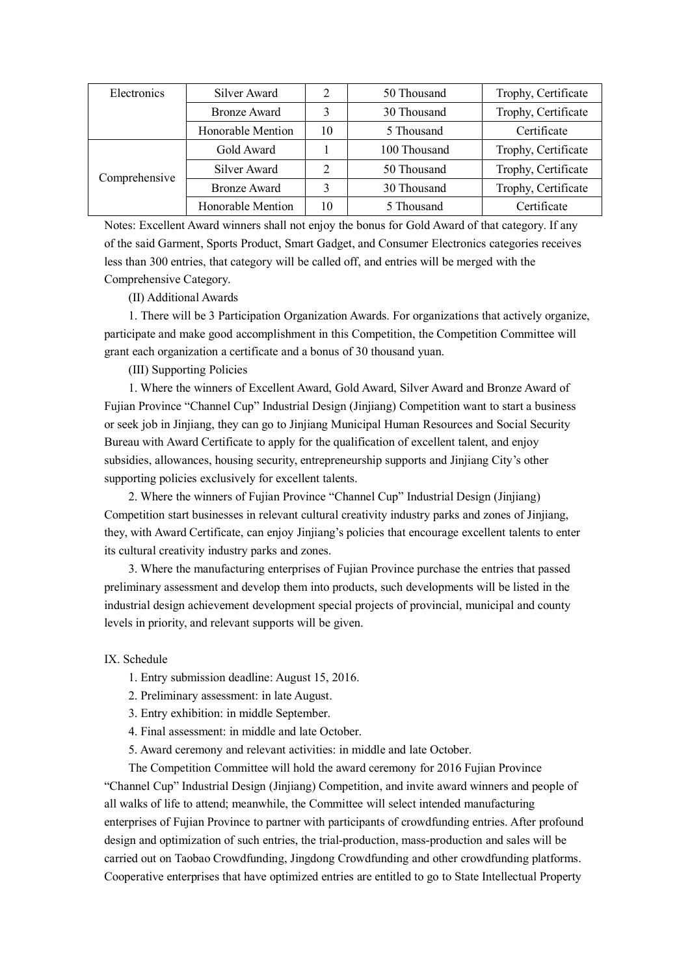| Electronics   | Silver Award        |    | 50 Thousand  | Trophy, Certificate |
|---------------|---------------------|----|--------------|---------------------|
|               | <b>Bronze Award</b> |    | 30 Thousand  | Trophy, Certificate |
|               | Honorable Mention   | 10 | 5 Thousand   | Certificate         |
| Comprehensive | Gold Award          |    | 100 Thousand | Trophy, Certificate |
|               | Silver Award        | ∍  | 50 Thousand  | Trophy, Certificate |
|               | <b>Bronze Award</b> |    | 30 Thousand  | Trophy, Certificate |
|               | Honorable Mention   | 10 | 5 Thousand   | Certificate         |

Notes: Excellent Award winners shall not enjoy the bonus for Gold Award of that category. If any of the said Garment, Sports Product, Smart Gadget, and Consumer Electronics categories receives less than 300 entries, that category will be called off, and entries will be merged with the Comprehensive Category.

(II) Additional Awards

1. There will be 3 Participation Organization Awards. For organizations that actively organize, participate and make good accomplishment in this Competition, the Competition Committee will grant each organization a certificate and a bonus of 30 thousand yuan.

(III) Supporting Policies

1. Where the winners of Excellent Award, Gold Award, Silver Award and Bronze Award of Fujian Province "Channel Cup" Industrial Design (Jinjiang) Competition want to start a business or seek job in Jinjiang, they can go to Jinjiang Municipal Human Resources and Social Security Bureau with Award Certificate to apply for the qualification of excellent talent, and enjoy subsidies, allowances, housing security, entrepreneurship supports and Jinjiang City's other supporting policies exclusively for excellent talents.

2. Where the winners of Fujian Province "Channel Cup" Industrial Design (Jinjiang) Competition start businesses in relevant cultural creativity industry parks and zones of Jinjiang, they, with Award Certificate, can enjoy Jinjiang's policies that encourage excellent talents to enter its cultural creativity industry parks and zones.

3. Where the manufacturing enterprises of Fujian Province purchase the entries that passed preliminary assessment and develop them into products, such developments will be listed in the industrial design achievement development special projects of provincial, municipal and county levels in priority, and relevant supports will be given.

IX. Schedule

- 1. Entry submission deadline: August 15, 2016.
- 2. Preliminary assessment: in late August.
- 3. Entry exhibition: in middle September.
- 
- 4. Final assessment: in middle and late October.<br>5. Award ceremony and relevant activities: in middle and late October.<br>The Competition Committee will hold the award ceremony for 2016 Fujian Province

"Channel Cup" Industrial Design (Jinjiang) Competition, and invite award winners and people of all walks of life to attend; meanwhile, the Committee will select intended manufacturing enterprises of Fujian Province to partner with participants of crowdfunding entries. After profound design and optimization of such entries, the trial-production, mass-production and saleswill be carried out on Taobao Crowdfunding, Jingdong Crowdfunding and other crowdfunding platforms. Cooperative enterprises that have optimized entries are entitled to go to State Intellectual Property